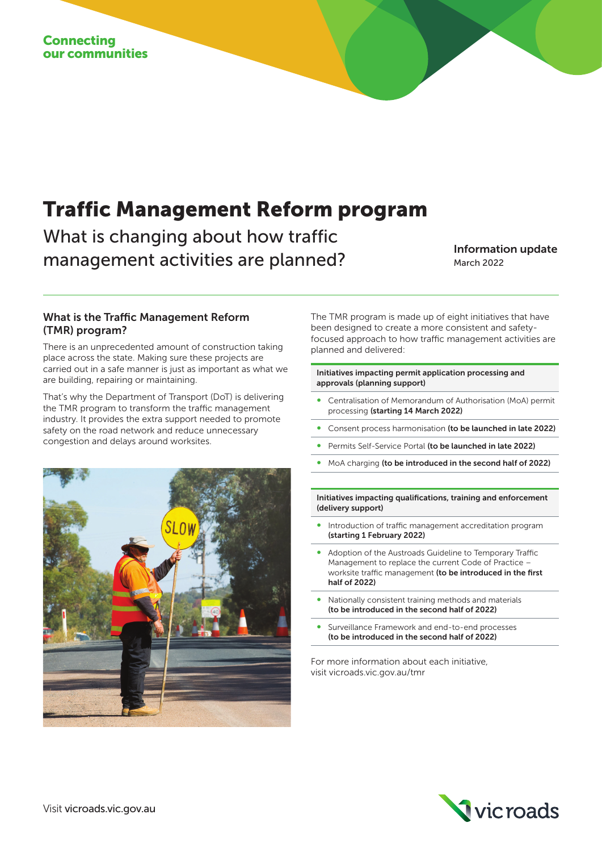# Traffic Management Reform program

What is changing about how traffic management activities are planned?<br>
March 2022

March 2022

#### What is the Traffic Management Reform (TMR) program?

There is an unprecedented amount of construction taking place across the state. Making sure these projects are carried out in a safe manner is just as important as what we are building, repairing or maintaining.

That's why the Department of Transport (DoT) is delivering the TMR program to transform the traffic management industry. It provides the extra support needed to promote safety on the road network and reduce unnecessary congestion and delays around worksites.



The TMR program is made up of eight initiatives that have been designed to create a more consistent and safetyfocused approach to how traffic management activities are planned and delivered:

#### Initiatives impacting permit application processing and approvals (planning support)

- ∞ Centralisation of Memorandum of Authorisation (MoA) permit processing (starting 14 March 2022)
- Consent process harmonisation (to be launched in late 2022)
- Permits Self-Service Portal (to be launched in late 2022)
- MoA charging (to be introduced in the second half of 2022)

Initiatives impacting qualifications, training and enforcement (delivery support)

- Introduction of traffic management accreditation program (starting 1 February 2022)
- Adoption of the Austroads Guideline to Temporary Traffic Management to replace the current Code of Practice – worksite traffic management (to be introduced in the first half of 2022)
- Nationally consistent training methods and materials (to be introduced in the second half of 2022)
- Surveillance Framework and end-to-end processes (to be introduced in the second half of 2022)

For more information about each initiative, visit vicroads.vic.gov.au/tmr